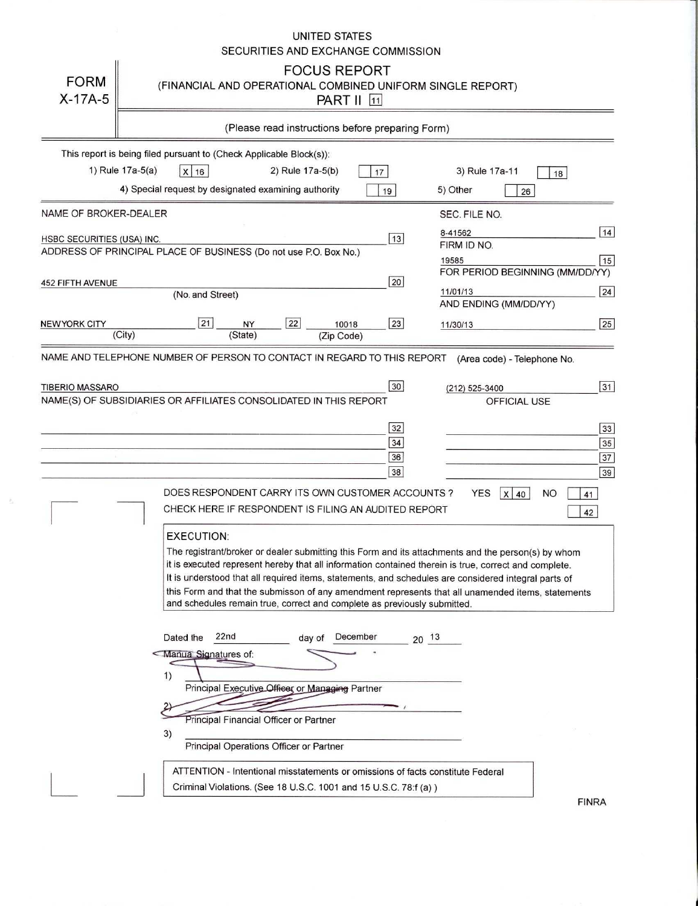## UNITED STATES SECURITIES AND EXCHANGE COMMISSION

| <b>FORM</b><br>$X-17A-5$   | <b>FOCUS REPORT</b><br>(FINANCIAL AND OPERATIONAL COMBINED UNIFORM SINGLE REPORT)<br><b>PART II</b> 11                                                                                                                                                                                                                                                                                                                                                                                                                                                                                                                                                                                                                                   |                                                                                                               |
|----------------------------|------------------------------------------------------------------------------------------------------------------------------------------------------------------------------------------------------------------------------------------------------------------------------------------------------------------------------------------------------------------------------------------------------------------------------------------------------------------------------------------------------------------------------------------------------------------------------------------------------------------------------------------------------------------------------------------------------------------------------------------|---------------------------------------------------------------------------------------------------------------|
|                            | (Please read instructions before preparing Form)                                                                                                                                                                                                                                                                                                                                                                                                                                                                                                                                                                                                                                                                                         |                                                                                                               |
|                            | This report is being filed pursuant to (Check Applicable Block(s)):<br>1) Rule 17a-5(a)<br>$x \mid 16$<br>2) Rule 17a-5(b)<br>17                                                                                                                                                                                                                                                                                                                                                                                                                                                                                                                                                                                                         | 3) Rule 17a-11<br>18                                                                                          |
|                            | 4) Special request by designated examining authority<br>19                                                                                                                                                                                                                                                                                                                                                                                                                                                                                                                                                                                                                                                                               | 5) Other<br>26                                                                                                |
| NAME OF BROKER-DEALER      |                                                                                                                                                                                                                                                                                                                                                                                                                                                                                                                                                                                                                                                                                                                                          | SEC. FILE NO.                                                                                                 |
| HSBC SECURITIES (USA) INC. | 13 <br>ADDRESS OF PRINCIPAL PLACE OF BUSINESS (Do not use P.O. Box No.)                                                                                                                                                                                                                                                                                                                                                                                                                                                                                                                                                                                                                                                                  | 14<br>8-41562<br>FIRM ID NO.<br>19585<br>15<br>FOR PERIOD BEGINNING (MM/DD/YY)                                |
| <b>452 FIFTH AVENUE</b>    | 20<br>(No. and Street)                                                                                                                                                                                                                                                                                                                                                                                                                                                                                                                                                                                                                                                                                                                   | 24<br>11/01/13                                                                                                |
| <b>NEW YORK CITY</b>       | 21<br>22<br> 23 <br>NY<br>10018<br>(City)<br>(State)                                                                                                                                                                                                                                                                                                                                                                                                                                                                                                                                                                                                                                                                                     | AND ENDING (MM/DD/YY)<br>25<br>11/30/13                                                                       |
|                            | (Zip Code)<br>NAME AND TELEPHONE NUMBER OF PERSON TO CONTACT IN REGARD TO THIS REPORT                                                                                                                                                                                                                                                                                                                                                                                                                                                                                                                                                                                                                                                    | (Area code) - Telephone No.                                                                                   |
| <b>TIBERIO MASSARO</b>     | 30<br>NAME(S) OF SUBSIDIARIES OR AFFILIATES CONSOLIDATED IN THIS REPORT<br>32<br>34<br>36<br>38<br>DOES RESPONDENT CARRY ITS OWN CUSTOMER ACCOUNTS?<br>CHECK HERE IF RESPONDENT IS FILING AN AUDITED REPORT<br><b>EXECUTION:</b><br>The registrant/broker or dealer submitting this Form and its attachments and the person(s) by whom<br>it is executed represent hereby that all information contained therein is true, correct and complete.<br>It is understood that all required items, statements, and schedules are considered integral parts of<br>this Form and that the submisson of any amendment represents that all unamended items, statements<br>and schedules remain true, correct and complete as previously submitted. | 31<br>(212) 525-3400<br><b>OFFICIAL USE</b><br>33<br>35<br>37<br>39<br><b>YES</b><br>$X$ 40<br>NO<br>41<br>42 |
|                            | 22nd<br>Dated the<br>December<br>day of<br>Manual Signatures of:<br>1)<br>Principal Executive Officer or Managing Partner<br>Principal Financial Officer or Partner<br>3)<br>Principal Operations Officer or Partner<br>ATTENTION - Intentional misstatements or omissions of facts constitute Federal<br>Criminal Violations. (See 18 U.S.C. 1001 and 15 U.S.C. 78:f (a))                                                                                                                                                                                                                                                                                                                                                               | $20^{13}$                                                                                                     |

 $\tilde{\nu}_\perp$ 

**FINRA**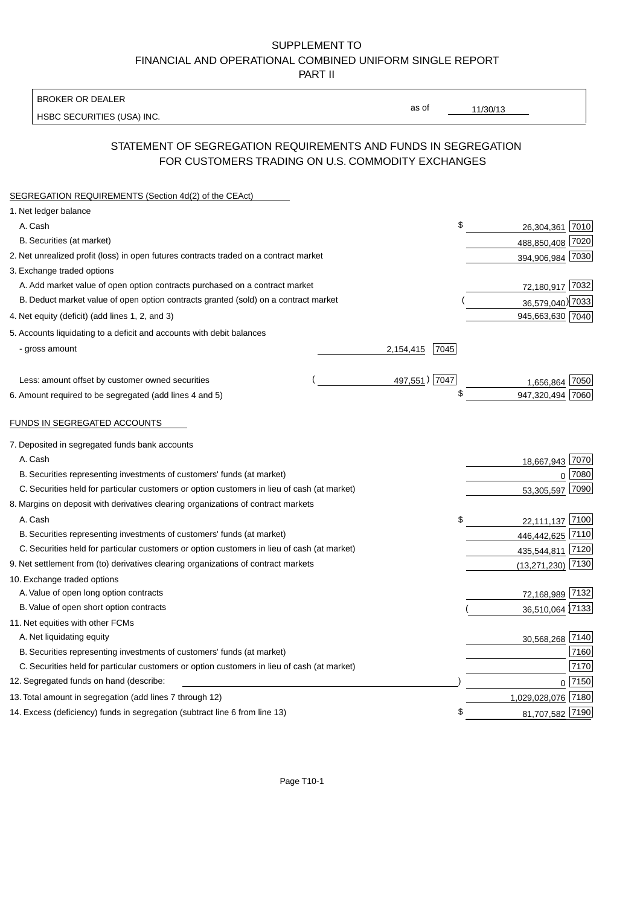## SUPPLEMENT TO FINANCIAL AND OPERATIONAL COMBINED UNIFORM SINGLE REPORT PART II

BROKER OR DEALER

HSBC SECURITIES (USA) INC.

11/30/13

as of

## STATEMENT OF SEGREGATION REQUIREMENTS AND FUNDS IN SEGREGATION FOR CUSTOMERS TRADING ON U.S. COMMODITY EXCHANGES

| SEGREGATION REQUIREMENTS (Section 4d(2) of the CEAct)                                       |                  |        |
|---------------------------------------------------------------------------------------------|------------------|--------|
| 1. Net ledger balance                                                                       |                  |        |
| \$<br>A. Cash                                                                               | 26,304,361 7010  |        |
| B. Securities (at market)                                                                   | 488,850,408 7020 |        |
| 2. Net unrealized profit (loss) in open futures contracts traded on a contract market       | 394,906,984 7030 |        |
| 3. Exchange traded options                                                                  |                  |        |
| A. Add market value of open option contracts purchased on a contract market                 | 72,180,917 7032  |        |
| B. Deduct market value of open option contracts granted (sold) on a contract market         | 36,579,040) 7033 |        |
| 4. Net equity (deficit) (add lines 1, 2, and 3)                                             | 945,663,630 7040 |        |
| 5. Accounts liquidating to a deficit and accounts with debit balances                       |                  |        |
| - gross amount<br>2,154,415<br>7045                                                         |                  |        |
|                                                                                             |                  |        |
| 497,551) 7047<br>Less: amount offset by customer owned securities                           | 1.656.864        | 7050   |
| \$<br>6. Amount required to be segregated (add lines 4 and 5)                               | 947,320,494      | 7060   |
|                                                                                             |                  |        |
| FUNDS IN SEGREGATED ACCOUNTS                                                                |                  |        |
| 7. Deposited in segregated funds bank accounts                                              |                  |        |
| A. Cash                                                                                     | 18,667,943       | 7070   |
| B. Securities representing investments of customers' funds (at market)                      | $\mathbf{0}$     | 7080   |
| C. Securities held for particular customers or option customers in lieu of cash (at market) | 53,305,597       | 7090   |
| 8. Margins on deposit with derivatives clearing organizations of contract markets           |                  |        |
| A. Cash<br>\$                                                                               | 22,111,137       | 7100   |
| B. Securities representing investments of customers' funds (at market)                      | 446,442,625      | 7110   |
| C. Securities held for particular customers or option customers in lieu of cash (at market) | 435,544,811      | 7120   |
| 9. Net settlement from (to) derivatives clearing organizations of contract markets          | (13, 271, 230)   | $7130$ |
| 10. Exchange traded options                                                                 |                  |        |
| A. Value of open long option contracts                                                      | 72,168,989 7132  |        |
| B. Value of open short option contracts                                                     | 36,510,064 7133  |        |
| 11. Net equities with other FCMs                                                            |                  |        |
| A. Net liquidating equity                                                                   | 30,568,268 7140  |        |
| B. Securities representing investments of customers' funds (at market)                      |                  | 7160   |
| C. Securities held for particular customers or option customers in lieu of cash (at market) |                  | 7170   |
| 12. Segregated funds on hand (describe:                                                     | $\Omega$         | 7150   |
| 13. Total amount in segregation (add lines 7 through 12)                                    | 1,029,028,076    | 7180   |
| \$<br>14. Excess (deficiency) funds in segregation (subtract line 6 from line 13)           | 81,707,582 7190  |        |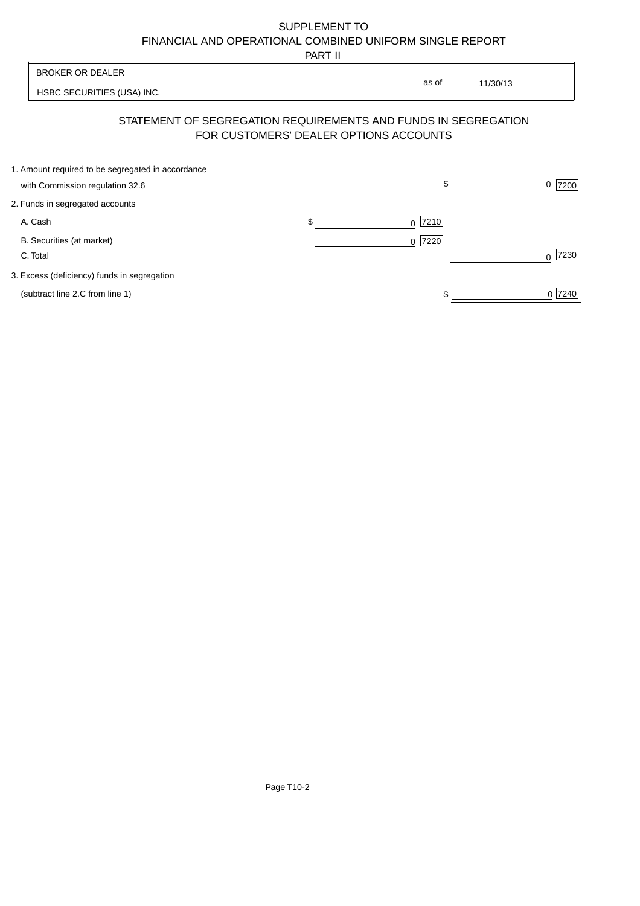# SUPPLEMENT TO FINANCIAL AND OPERATIONAL COMBINED UNIFORM SINGLE REPORT

PART II

 $\overline{1}$ 

| <b>BROKER OR DEALER</b> |                                                                | as of |                                        |           |
|-------------------------|----------------------------------------------------------------|-------|----------------------------------------|-----------|
|                         | HSBC SECURITIES (USA) INC.                                     |       | 11/30/13                               |           |
|                         | STATEMENT OF SEGREGATION REQUIREMENTS AND FUNDS IN SEGREGATION |       | FOR CUSTOMERS' DEALER OPTIONS ACCOUNTS |           |
|                         | 1. Amount required to be segregated in accordance              |       |                                        |           |
|                         | with Commission regulation 32.6                                |       | \$                                     | 7200<br>0 |
|                         | 2. Funds in segregated accounts                                |       |                                        |           |
|                         | A. Cash                                                        | \$    | 7210<br>0                              |           |
|                         | B. Securities (at market)                                      |       | 0 7220                                 |           |
|                         | C. Total                                                       |       |                                        | 7230<br>U |
|                         | 3. Excess (deficiency) funds in segregation                    |       |                                        |           |
|                         | (subtract line 2.C from line 1)                                |       |                                        | 0 7240    |
|                         |                                                                |       |                                        |           |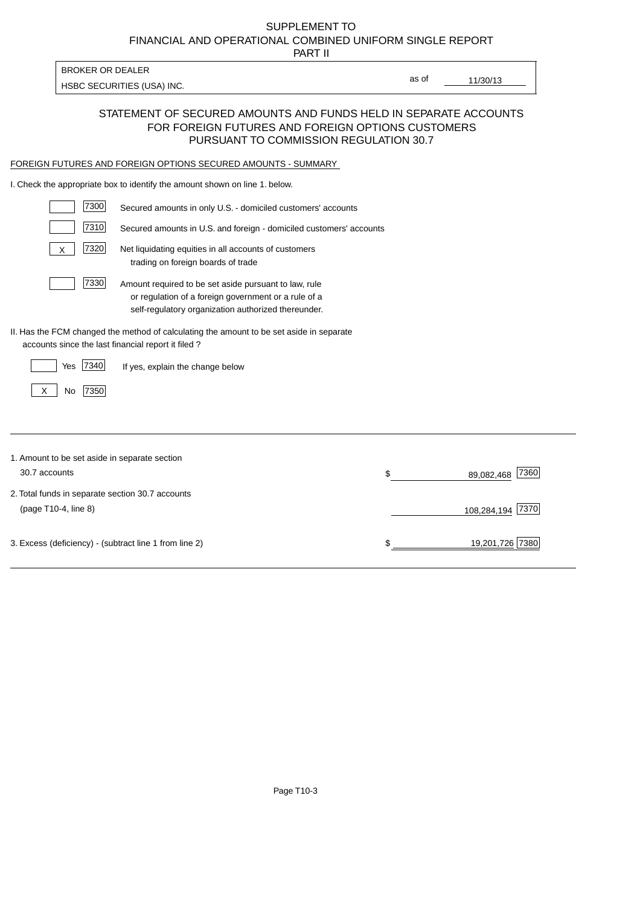# FINANCIAL AND OPERATIONAL COMBINED UNIFORM SINGLE REPORT SUPPLEMENT TO

PART II

HSBC SECURITIES (USA) INC.

BROKER OR DEALER

11/30/13 as of

### STATEMENT OF SECURED AMOUNTS AND FUNDS HELD IN SEPARATE ACCOUNTS FOR FOREIGN FUTURES AND FOREIGN OPTIONS CUSTOMERS PURSUANT TO COMMISSION REGULATION 30.7

#### FOREIGN FUTURES AND FOREIGN OPTIONS SECURED AMOUNTS - SUMMARY

I. Check the appropriate box to identify the amount shown on line 1. below.

| 7300                                                   | Secured amounts in only U.S. - domiciled customers' accounts                                                                                                         |    |                     |
|--------------------------------------------------------|----------------------------------------------------------------------------------------------------------------------------------------------------------------------|----|---------------------|
| 7310                                                   | Secured amounts in U.S. and foreign - domiciled customers' accounts                                                                                                  |    |                     |
| 7320<br>X                                              | Net liquidating equities in all accounts of customers<br>trading on foreign boards of trade                                                                          |    |                     |
| 7330                                                   | Amount required to be set aside pursuant to law, rule<br>or regulation of a foreign government or a rule of a<br>self-regulatory organization authorized thereunder. |    |                     |
| accounts since the last financial report it filed?     | II. Has the FCM changed the method of calculating the amount to be set aside in separate                                                                             |    |                     |
| 7340<br>Yes                                            | If yes, explain the change below                                                                                                                                     |    |                     |
| 7350<br>No<br>X                                        |                                                                                                                                                                      |    |                     |
|                                                        |                                                                                                                                                                      |    |                     |
| 1. Amount to be set aside in separate section          |                                                                                                                                                                      |    |                     |
| 30.7 accounts                                          |                                                                                                                                                                      | \$ | 7360<br>89,082,468  |
| 2. Total funds in separate section 30.7 accounts       |                                                                                                                                                                      |    |                     |
| (page T10-4, line 8)                                   |                                                                                                                                                                      |    | 7370<br>108,284,194 |
| 3. Excess (deficiency) - (subtract line 1 from line 2) |                                                                                                                                                                      | S  | 19,201,726 7380     |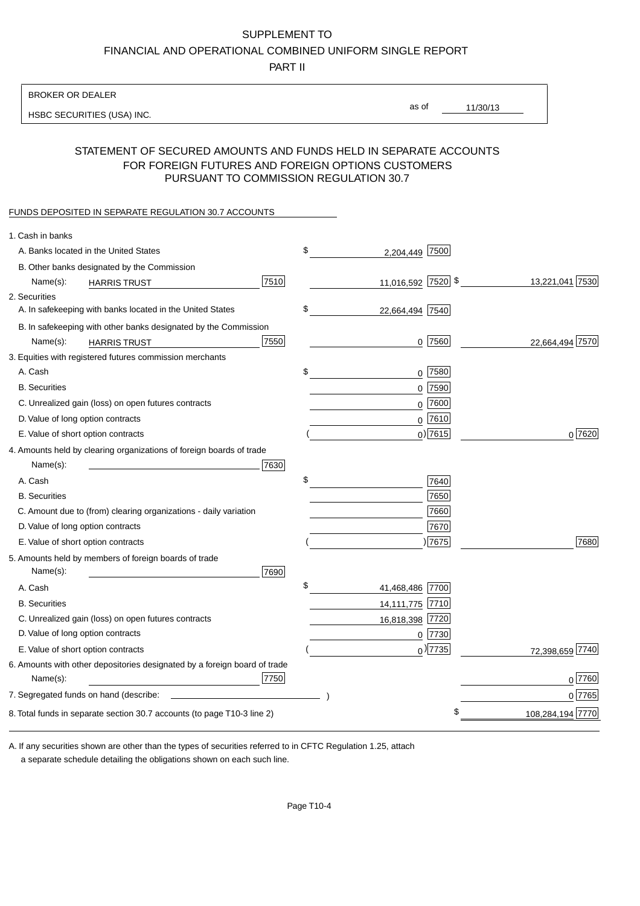### SUPPLEMENT TO

FINANCIAL AND OPERATIONAL COMBINED UNIFORM SINGLE REPORT

PART II

#### BROKER OR DEALER

HSBC SECURITIES (USA) INC.

11/30/13 as of

### STATEMENT OF SECURED AMOUNTS AND FUNDS HELD IN SEPARATE ACCOUNTS FOR FOREIGN FUTURES AND FOREIGN OPTIONS CUSTOMERS PURSUANT TO COMMISSION REGULATION 30.7

#### FUNDS DEPOSITED IN SEPARATE REGULATION 30.7 ACCOUNTS

| 1. Cash in banks                                                          |                       |                  |
|---------------------------------------------------------------------------|-----------------------|------------------|
| A. Banks located in the United States                                     | \$<br>2,204,449 7500  |                  |
| B. Other banks designated by the Commission                               |                       |                  |
| 7510<br>Name(s):<br><b>HARRIS TRUST</b>                                   | 11,016,592 7520 \$    | 13,221,041 7530  |
| 2. Securities                                                             |                       |                  |
| A. In safekeeping with banks located in the United States                 | \$<br>22,664,494 7540 |                  |
| B. In safekeeping with other banks designated by the Commission           |                       |                  |
| 7550<br>Name(s):<br><b>HARRIS TRUST</b>                                   | $0$  7560             | 22,664,494 7570  |
| 3. Equities with registered futures commission merchants                  |                       |                  |
| A. Cash                                                                   | \$<br>$0$ 7580        |                  |
| <b>B.</b> Securities                                                      | 0 7590                |                  |
| C. Unrealized gain (loss) on open futures contracts                       | $0$ 7600              |                  |
| D. Value of long option contracts                                         | $0$ 7610              |                  |
| E. Value of short option contracts                                        | $0$ ) 7615            | 0 7620           |
| 4. Amounts held by clearing organizations of foreign boards of trade      |                       |                  |
| Name(s):<br>7630                                                          |                       |                  |
| A. Cash                                                                   | \$<br>7640            |                  |
| <b>B.</b> Securities                                                      | 7650                  |                  |
| C. Amount due to (from) clearing organizations - daily variation          | 7660                  |                  |
| D. Value of long option contracts                                         | 7670                  |                  |
| E. Value of short option contracts                                        | $\vert 7675 \vert$    | 7680             |
| 5. Amounts held by members of foreign boards of trade<br>Name(s):<br>7690 |                       |                  |
| A. Cash                                                                   | \$<br>41,468,486 7700 |                  |
| <b>B.</b> Securities                                                      | 14,111,775 7710       |                  |
| C. Unrealized gain (loss) on open futures contracts                       | 16,818,398 7720       |                  |
| D. Value of long option contracts                                         | $0$  7730             |                  |
| E. Value of short option contracts                                        | $_0$ ) 7735           | 72,398,659 7740  |
| 6. Amounts with other depositories designated by a foreign board of trade |                       |                  |
| 7750<br>Name(s):                                                          |                       | 0 7760           |
| 7. Segregated funds on hand (describe:                                    |                       | 0 7765           |
| 8. Total funds in separate section 30.7 accounts (to page T10-3 line 2)   |                       | 108,284,194 7770 |
|                                                                           |                       |                  |

a separate schedule detailing the obligations shown on each such line. A. If any securities shown are other than the types of securities referred to in CFTC Regulation 1.25, attach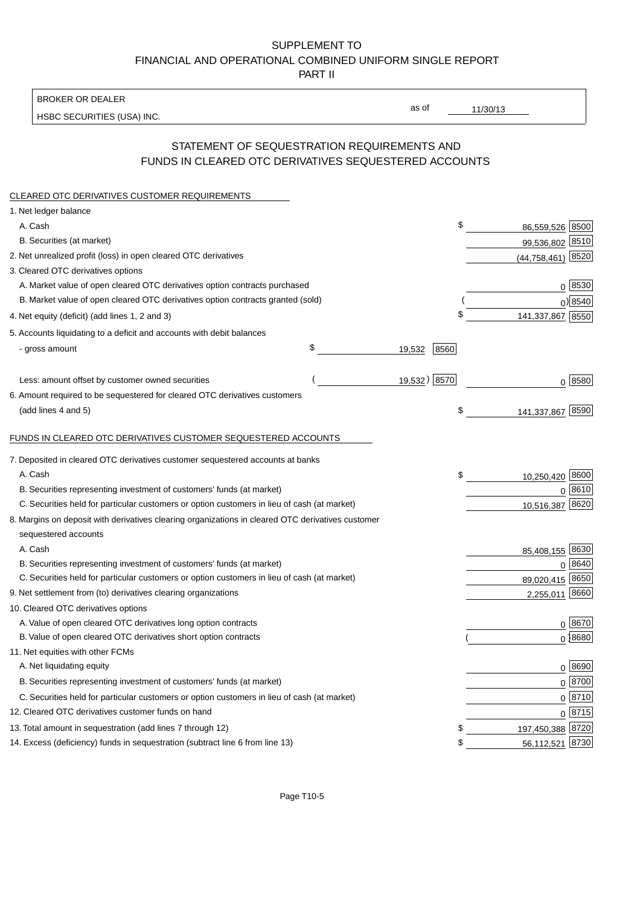## SUPPLEMENT TO FINANCIAL AND OPERATIONAL COMBINED UNIFORM SINGLE REPORT PART II

BROKER OR DEALER

HSBC SECURITIES (USA) INC.

11/30/13

as of

## STATEMENT OF SEQUESTRATION REQUIREMENTS AND FUNDS IN CLEARED OTC DERIVATIVES SEQUESTERED ACCOUNTS

| CLEARED OTC DERIVATIVES CUSTOMER REQUIREMENTS                                                     |              |      |                           |
|---------------------------------------------------------------------------------------------------|--------------|------|---------------------------|
| 1. Net ledger balance                                                                             |              |      |                           |
| A. Cash                                                                                           |              |      | \$<br>8500<br>86,559,526  |
| B. Securities (at market)                                                                         |              |      | 99,536,802 8510           |
| 2. Net unrealized profit (loss) in open cleared OTC derivatives                                   |              |      | $(44, 758, 461)$ 8520     |
| 3. Cleared OTC derivatives options                                                                |              |      |                           |
| A. Market value of open cleared OTC derivatives option contracts purchased                        |              |      | 0   8530                  |
| B. Market value of open cleared OTC derivatives option contracts granted (sold)                   |              |      | $0$ ) 8540                |
| 4. Net equity (deficit) (add lines 1, 2 and 3)                                                    |              |      | \$<br>141,337,867 8550    |
| 5. Accounts liquidating to a deficit and accounts with debit balances                             |              |      |                           |
| - gross amount                                                                                    | \$<br>19,532 | 8560 |                           |
| Less: amount offset by customer owned securities                                                  | 19,532) 8570 |      | 0 8580                    |
| 6. Amount required to be sequestered for cleared OTC derivatives customers                        |              |      |                           |
| (add lines 4 and 5)                                                                               |              |      | \$<br>8590<br>141,337,867 |
| FUNDS IN CLEARED OTC DERIVATIVES CUSTOMER SEQUESTERED ACCOUNTS                                    |              |      |                           |
| 7. Deposited in cleared OTC derivatives customer sequestered accounts at banks                    |              |      |                           |
| A. Cash                                                                                           |              |      | \$<br>10,250,420 8600     |
| B. Securities representing investment of customers' funds (at market)                             |              |      | 0 8610                    |
| C. Securities held for particular customers or option customers in lieu of cash (at market)       |              |      | 8620<br>10,516,387        |
| 8. Margins on deposit with derivatives clearing organizations in cleared OTC derivatives customer |              |      |                           |
| sequestered accounts                                                                              |              |      |                           |
| A. Cash                                                                                           |              |      | 85,408,155 8630           |
| B. Securities representing investment of customers' funds (at market)                             |              |      | 0   8640                  |
| C. Securities held for particular customers or option customers in lieu of cash (at market)       |              |      | 89,020,415 8650           |
| 9. Net settlement from (to) derivatives clearing organizations                                    |              |      | 8660<br>2,255,011         |
| 10. Cleared OTC derivatives options                                                               |              |      |                           |
| A. Value of open cleared OTC derivatives long option contracts                                    |              |      | 0 8670                    |
| B. Value of open cleared OTC derivatives short option contracts                                   |              |      | $0$ 8680                  |
| 11. Net equities with other FCMs                                                                  |              |      |                           |
| A. Net liquidating equity                                                                         |              |      | 0 8690                    |
| B. Securities representing investment of customers' funds (at market)                             |              |      | $0$ 8700                  |
| C. Securities held for particular customers or option customers in lieu of cash (at market)       |              |      | $0 \overline{8710}$       |
| 12. Cleared OTC derivatives customer funds on hand                                                |              |      | $0 \overline{8715}$       |
| 13. Total amount in sequestration (add lines 7 through 12)                                        |              |      | \$<br>197,450,388 8720    |
| 14. Excess (deficiency) funds in sequestration (subtract line 6 from line 13)                     |              |      | \$<br>8730<br>56,112,521  |